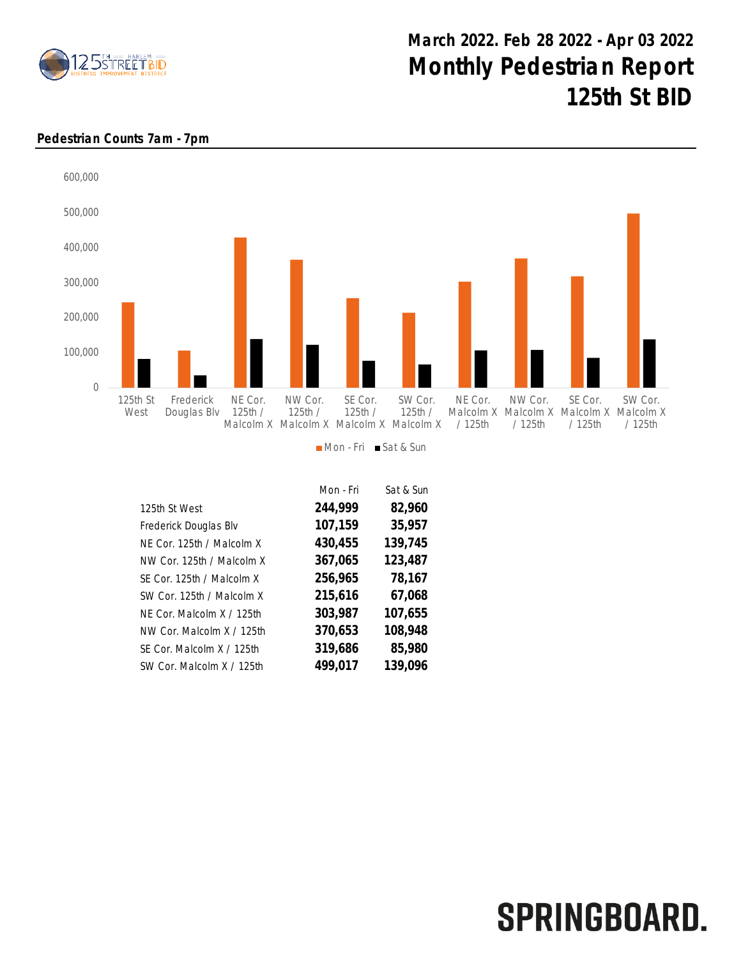

## March 2022. Feb 28 2022 - Apr 03 2022 Monthly Pedestrian Report 125th St BID

## Pedestrian Counts 7am - 7pm



|                           | Mon - Fri | Sat & Sun |
|---------------------------|-----------|-----------|
| 125th St West             | 244,999   | 82,960    |
| Frederick Douglas Blv     | 107,159   | 35,957    |
| NE Cor. 125th / Malcolm X | 430,455   | 139,745   |
| NW Cor. 125th / Malcolm X | 367,065   | 123,487   |
| SE Cor. 125th / Malcolm X | 256,965   | 78,167    |
| SW Cor. 125th / Malcolm X | 215,616   | 67,068    |
| NF Cor. Malcolm X / 125th | 303,987   | 107,655   |
| NW Cor. Malcolm X / 125th | 370,653   | 108,948   |
| SF Cor. Malcolm X / 125th | 319,686   | 85,980    |
| SW Cor. Malcolm X / 125th | 499,017   | 139,096   |

## SPRINGBOARD.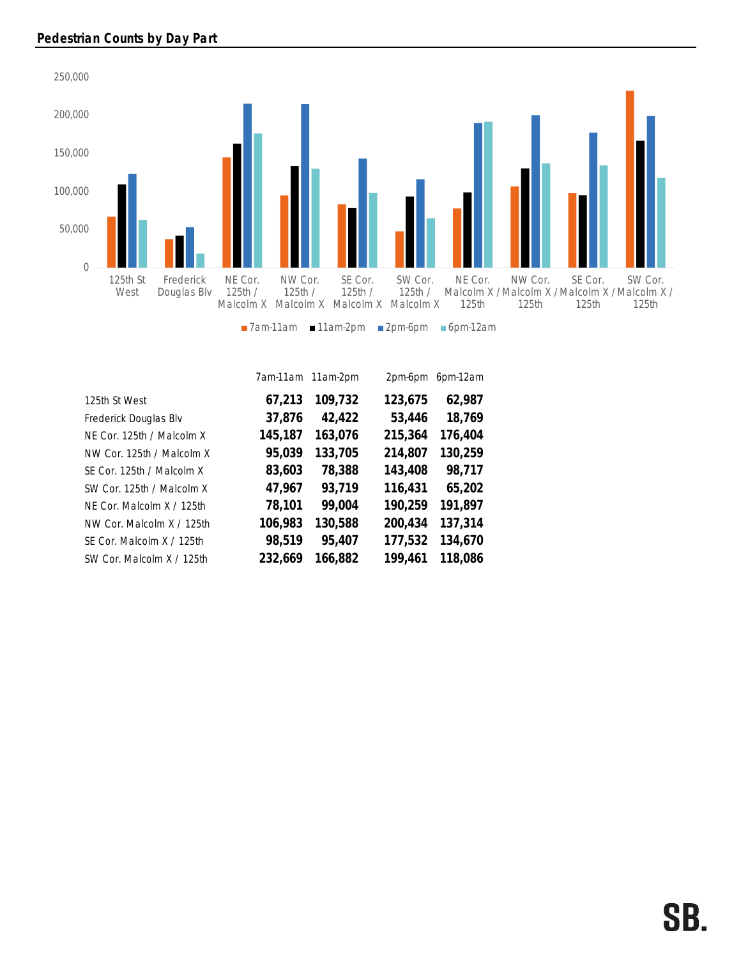

|                           |         | 7am-11am 11am-2pm | 2pm-6pm | 6pm-12am |
|---------------------------|---------|-------------------|---------|----------|
| 125th St West             | 67,213  | 109,732           | 123,675 | 62,987   |
| Frederick Douglas Blv     | 37,876  | 42,422            | 53,446  | 18,769   |
| NE Cor. 125th / Malcolm X | 145,187 | 163,076           | 215,364 | 176,404  |
| NW Cor. 125th / Malcolm X | 95,039  | 133,705           | 214,807 | 130,259  |
| SE Cor. 125th / Malcolm X | 83,603  | 78,388            | 143,408 | 98,717   |
| SW Cor. 125th / Malcolm X | 47,967  | 93,719            | 116,431 | 65,202   |
| NF Cor. Malcolm X / 125th | 78,101  | 99,004            | 190,259 | 191,897  |
| NW Cor. Malcolm X / 125th | 106,983 | 130,588           | 200,434 | 137,314  |
| SE Cor. Malcolm X / 125th | 98,519  | 95,407            | 177,532 | 134,670  |
| SW Cor. Malcolm X / 125th | 232,669 | 166,882           | 199,461 | 118,086  |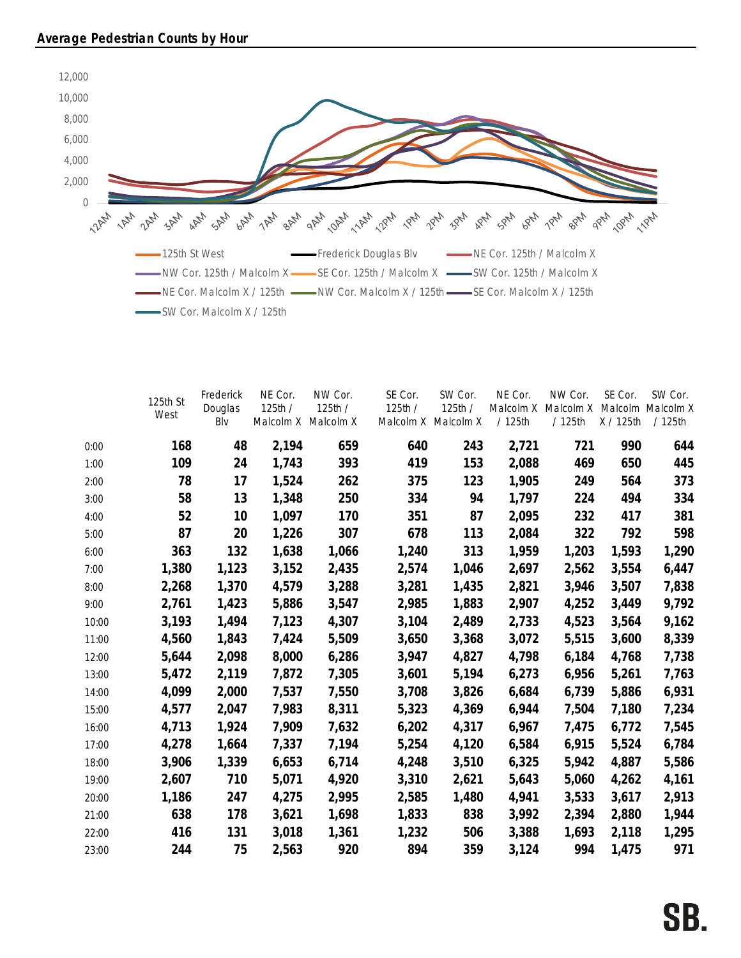

|       | 125th St<br>West | Frederick<br>Douglas<br>Blv | NE Cor.<br>125th / | NW Cor.<br>125th/<br>Malcolm X Malcolm X | SE Cor.<br>125th / | SW Cor.<br>125th /<br>Malcolm X Malcolm X | NE Cor.<br>Malcolm X<br>/ 125th | NW Cor.<br>Malcolm X<br>/ 125th | SE Cor.<br>Malcolm<br>X / 125th | SW Cor.<br>Malcolm X<br>/ 125th |
|-------|------------------|-----------------------------|--------------------|------------------------------------------|--------------------|-------------------------------------------|---------------------------------|---------------------------------|---------------------------------|---------------------------------|
| 0:00  | 168              | 48                          | 2,194              | 659                                      | 640                | 243                                       | 2,721                           | 721                             | 990                             | 644                             |
| 1:00  | 109              | 24                          | 1,743              | 393                                      | 419                | 153                                       | 2,088                           | 469                             | 650                             | 445                             |
| 2:00  | 78               | 17                          | 1,524              | 262                                      | 375                | 123                                       | 1,905                           | 249                             | 564                             | 373                             |
| 3:00  | 58               | 13                          | 1,348              | 250                                      | 334                | 94                                        | 1,797                           | 224                             | 494                             | 334                             |
| 4:00  | 52               | 10                          | 1,097              | 170                                      | 351                | 87                                        | 2,095                           | 232                             | 417                             | 381                             |
| 5:00  | 87               | 20                          | 1,226              | 307                                      | 678                | 113                                       | 2,084                           | 322                             | 792                             | 598                             |
| 6:00  | 363              | 132                         | 1,638              | 1,066                                    | 1,240              | 313                                       | 1,959                           | 1,203                           | 1,593                           | 1,290                           |
| 7:00  | 1,380            | 1,123                       | 3,152              | 2,435                                    | 2,574              | 1,046                                     | 2,697                           | 2,562                           | 3,554                           | 6,447                           |
| 8:00  | 2,268            | 1,370                       | 4,579              | 3,288                                    | 3,281              | 1,435                                     | 2,821                           | 3,946                           | 3,507                           | 7,838                           |
| 9:00  | 2,761            | 1,423                       | 5,886              | 3,547                                    | 2,985              | 1,883                                     | 2,907                           | 4,252                           | 3,449                           | 9,792                           |
| 10:00 | 3,193            | 1,494                       | 7,123              | 4,307                                    | 3,104              | 2,489                                     | 2,733                           | 4,523                           | 3,564                           | 9,162                           |
| 11:00 | 4,560            | 1,843                       | 7,424              | 5,509                                    | 3,650              | 3,368                                     | 3,072                           | 5,515                           | 3,600                           | 8,339                           |
| 12:00 | 5,644            | 2,098                       | 8,000              | 6,286                                    | 3,947              | 4,827                                     | 4,798                           | 6,184                           | 4,768                           | 7,738                           |
| 13:00 | 5,472            | 2,119                       | 7,872              | 7,305                                    | 3,601              | 5,194                                     | 6,273                           | 6,956                           | 5,261                           | 7,763                           |
| 14:00 | 4,099            | 2,000                       | 7,537              | 7,550                                    | 3,708              | 3,826                                     | 6,684                           | 6,739                           | 5,886                           | 6,931                           |
| 15:00 | 4,577            | 2,047                       | 7,983              | 8,311                                    | 5,323              | 4,369                                     | 6,944                           | 7,504                           | 7,180                           | 7,234                           |
| 16:00 | 4,713            | 1,924                       | 7,909              | 7,632                                    | 6,202              | 4,317                                     | 6,967                           | 7,475                           | 6,772                           | 7,545                           |
| 17:00 | 4,278            | 1,664                       | 7,337              | 7,194                                    | 5,254              | 4,120                                     | 6,584                           | 6,915                           | 5,524                           | 6,784                           |
| 18:00 | 3,906            | 1,339                       | 6,653              | 6,714                                    | 4,248              | 3,510                                     | 6,325                           | 5,942                           | 4,887                           | 5,586                           |
| 19:00 | 2,607            | 710                         | 5,071              | 4,920                                    | 3,310              | 2,621                                     | 5,643                           | 5,060                           | 4,262                           | 4,161                           |
| 20:00 | 1,186            | 247                         | 4,275              | 2,995                                    | 2,585              | 1,480                                     | 4,941                           | 3,533                           | 3,617                           | 2,913                           |
| 21:00 | 638              | 178                         | 3,621              | 1,698                                    | 1,833              | 838                                       | 3,992                           | 2,394                           | 2,880                           | 1,944                           |
| 22:00 | 416              | 131                         | 3,018              | 1,361                                    | 1,232              | 506                                       | 3,388                           | 1,693                           | 2,118                           | 1,295                           |
| 23:00 | 244              | 75                          | 2,563              | 920                                      | 894                | 359                                       | 3,124                           | 994                             | 1,475                           | 971                             |